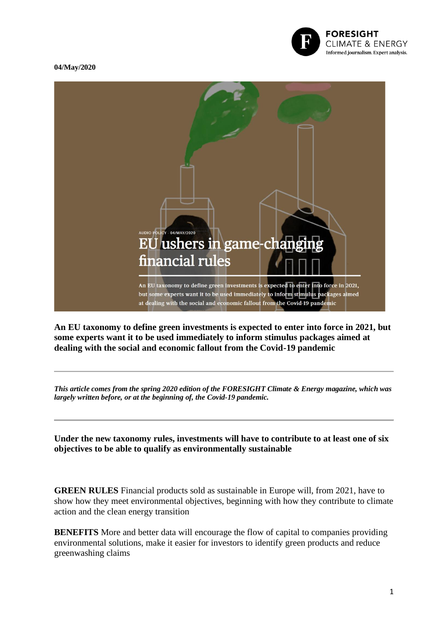

## **04/May/202[0](https://foresightdk.com/eu-ushers-in-game-changing-financial-rules/)**



**An EU taxonomy to define green investments is expected to enter into force in 2021, but some experts want it to be used immediately to inform stimulus packages aimed at dealing with the social and economic fallout from the Covid-19 pandemic**

*This article comes from the spring 2020 edition of the FORESIGHT Climate & Energy magazine, which was largely written before, or at the beginning of, the Covid-19 pandemic.*

**Under the new taxonomy rules, investments will have to contribute to at least one of six objectives to be able to qualify as environmentally sustainable**

**GREEN RULES** Financial products sold as sustainable in Europe will, from 2021, have to show how they meet environmental objectives, beginning with how they contribute to climate action and the clean energy transition

**BENEFITS** More and better data will encourage the flow of capital to companies providing environmental solutions, make it easier for investors to identify green products and reduce greenwashing claims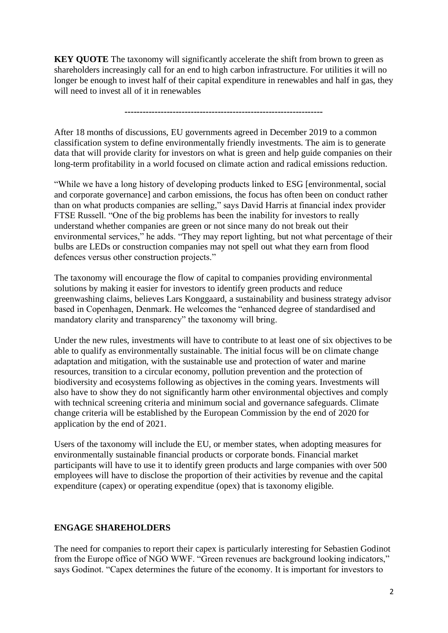**KEY QUOTE** The taxonomy will significantly accelerate the shift from brown to green as shareholders increasingly call for an end to high carbon infrastructure. For utilities it will no longer be enough to invest half of their capital expenditure in renewables and half in gas, they will need to invest all of it in renewables

## **------------------------------------------------------------------**

After 18 months of discussions, EU governments agreed in December 2019 to a common classification system to define environmentally friendly investments. The aim is to generate data that will provide clarity for investors on what is green and help guide companies on their long-term profitability in a world focused on climate action and radical emissions reduction.

"While we have a long history of developing products linked to ESG [environmental, social and corporate governance] and carbon emissions, the focus has often been on conduct rather than on what products companies are selling," says David Harris at financial index provider FTSE Russell. "One of the big problems has been the inability for investors to really understand whether companies are green or not since many do not break out their environmental services," he adds. "They may report lighting, but not what percentage of their bulbs are LEDs or construction companies may not spell out what they earn from flood defences versus other construction projects."

The taxonomy will encourage the flow of capital to companies providing environmental solutions by making it easier for investors to identify green products and reduce greenwashing claims, believes Lars Konggaard, a sustainability and business strategy advisor based in Copenhagen, Denmark. He welcomes the "enhanced degree of standardised and mandatory clarity and transparency" the taxonomy will bring.

Under the new rules, investments will have to contribute to at least one of six objectives to be able to qualify as environmentally sustainable. The initial focus will be on climate change adaptation and mitigation, with the sustainable use and protection of water and marine resources, transition to a circular economy, pollution prevention and the protection of biodiversity and ecosystems following as objectives in the coming years. Investments will also have to show they do not significantly harm other environmental objectives and comply with technical screening criteria and minimum social and governance safeguards. Climate change criteria will be established by the European Commission by the end of 2020 for application by the end of 2021.

Users of the taxonomy will include the EU, or member states, when adopting measures for environmentally sustainable financial products or corporate bonds. Financial market participants will have to use it to identify green products and large companies with over 500 employees will have to disclose the proportion of their activities by revenue and the capital expenditure (capex) or operating expenditue (opex) that is taxonomy eligible.

## **ENGAGE SHAREHOLDERS**

The need for companies to report their capex is particularly interesting for Sebastien Godinot from the Europe office of NGO WWF. "Green revenues are background looking indicators," says Godinot. "Capex determines the future of the economy. It is important for investors to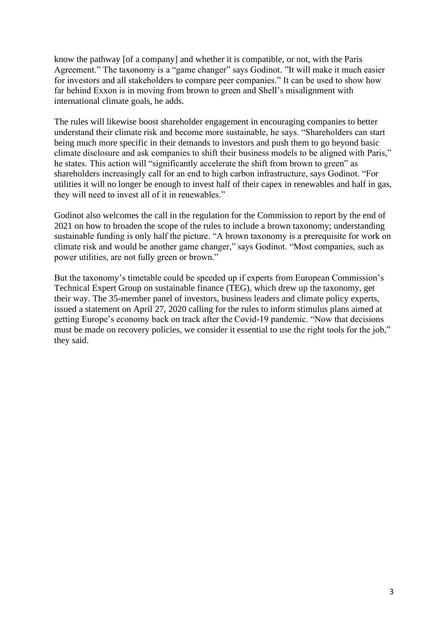know the pathway [of a company] and whether it is compatible, or not, with the Paris Agreement." The taxonomy is a "game changer" says Godinot. "It will make it much easier for investors and all stakeholders to compare peer companies." It can be used to show how far behind Exxon is in moving from brown to green and Shell's misalignment with international climate goals, he adds.

The rules will likewise boost shareholder engagement in encouraging companies to better understand their climate risk and become more sustainable, he says. "Shareholders can start being much more specific in their demands to investors and push them to go beyond basic climate disclosure and ask companies to shift their business models to be aligned with Paris," he states. This action will "significantly accelerate the shift from brown to green" as shareholders increasingly call for an end to high carbon infrastructure, says Godinot. "For utilities it will no longer be enough to invest half of their capex in renewables and half in gas, they will need to invest all of it in renewables."

Godinot also welcomes the call in the regulation for the Commission to report by the end of 2021 on how to broaden the scope of the rules to include a brown taxonomy; understanding sustainable funding is only half the picture. "A brown taxonomy is a prerequisite for work on climate risk and would be another game changer," says Godinot. "Most companies, such as power utilities, are not fully green or brown."

But the taxonomy's timetable could be speeded up if experts from European Commission's Technical Expert Group on sustainable finance (TEG), which drew up the taxonomy, get their way. The 35-member panel of investors, business leaders and climate policy experts, issued a statement on April 27, 2020 calling for the rules to inform stimulus plans aimed at getting Europe's economy back on track after the Covid-19 pandemic. "Now that decisions must be made on recovery policies, we consider it essential to use the right tools for the job," they said.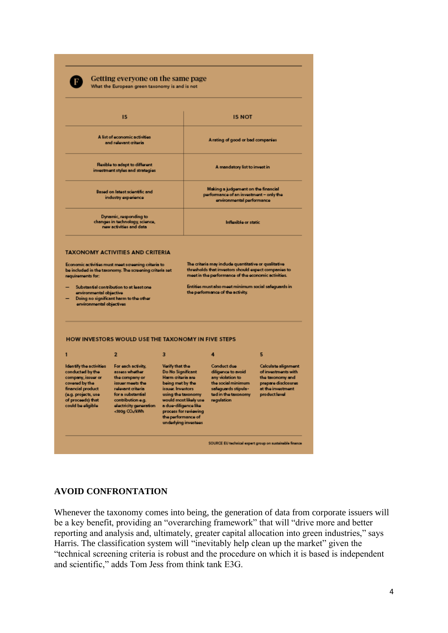

#### Getting everyone on the same page What the European green taxonomy is and is not

| <b>IS</b><br>A list of economic activities<br>and relevant criteria<br>Resible to adapt to different<br>investment styles and strategies<br>Based on latest scientific and<br>industry experience<br>Dynamic, responding to<br>changes in technology, science,<br>new activities and data |                                                                                    |  | <b>IS NOT</b><br>A rating of good or bad companies<br>A mandatory list to invest in<br>Making a judgement on the financial<br>performance of an investment - only the<br>environmental performance<br>Inflavible or static |  |
|-------------------------------------------------------------------------------------------------------------------------------------------------------------------------------------------------------------------------------------------------------------------------------------------|------------------------------------------------------------------------------------|--|----------------------------------------------------------------------------------------------------------------------------------------------------------------------------------------------------------------------------|--|
|                                                                                                                                                                                                                                                                                           |                                                                                    |  |                                                                                                                                                                                                                            |  |
|                                                                                                                                                                                                                                                                                           |                                                                                    |  |                                                                                                                                                                                                                            |  |
|                                                                                                                                                                                                                                                                                           |                                                                                    |  |                                                                                                                                                                                                                            |  |
|                                                                                                                                                                                                                                                                                           |                                                                                    |  |                                                                                                                                                                                                                            |  |
| environmental objective<br>environmental objectives                                                                                                                                                                                                                                       | Substantial contribution to at least one<br>Doing no significant harm to the other |  | Entities must also meet minimum social safeguards in<br>the performance of the activity.                                                                                                                                   |  |
|                                                                                                                                                                                                                                                                                           |                                                                                    |  |                                                                                                                                                                                                                            |  |
|                                                                                                                                                                                                                                                                                           | HOW INVESTORS WOULD USE THE TAXONOMY IN FIVE STEPS                                 |  |                                                                                                                                                                                                                            |  |

# **AVOID CONFRONTATION**

Whenever the taxonomy comes into being, the generation of data from corporate issuers will be a key benefit, providing an "overarching framework" that will "drive more and better reporting and analysis and, ultimately, greater capital allocation into green industries," says Harris. The classification system will "inevitably help clean up the market" given the "technical screening criteria is robust and the procedure on which it is based is independent and scientific," adds Tom Jess from think tank E3G.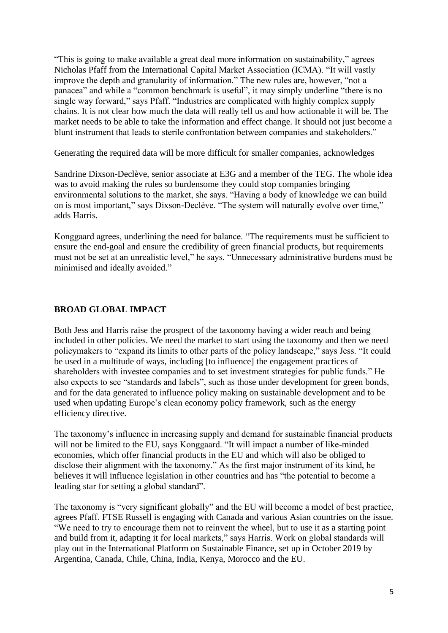"This is going to make available a great deal more information on sustainability," agrees Nicholas Pfaff from the International Capital Market Association (ICMA). "It will vastly improve the depth and granularity of information." The new rules are, however, "not a panacea" and while a "common benchmark is useful", it may simply underline "there is no single way forward," says Pfaff. "Industries are complicated with highly complex supply chains. It is not clear how much the data will really tell us and how actionable it will be. The market needs to be able to take the information and effect change. It should not just become a blunt instrument that leads to sterile confrontation between companies and stakeholders."

Generating the required data will be more difficult for smaller companies, acknowledges

Sandrine Dixson-Declève, senior associate at E3G and a member of the TEG. The whole idea was to avoid making the rules so burdensome they could stop companies bringing environmental solutions to the market, she says. "Having a body of knowledge we can build on is most important," says Dixson-Declève. "The system will naturally evolve over time," adds Harris.

Konggaard agrees, underlining the need for balance. "The requirements must be sufficient to ensure the end-goal and ensure the credibility of green financial products, but requirements must not be set at an unrealistic level," he says. "Unnecessary administrative burdens must be minimised and ideally avoided."

# **BROAD GLOBAL IMPACT**

Both Jess and Harris raise the prospect of the taxonomy having a wider reach and being included in other policies. We need the market to start using the taxonomy and then we need policymakers to "expand its limits to other parts of the policy landscape," says Jess. "It could be used in a multitude of ways, including [to influence] the engagement practices of shareholders with investee companies and to set investment strategies for public funds." He also expects to see "standards and labels", such as those under development for green bonds, and for the data generated to influence policy making on sustainable development and to be used when updating Europe's clean economy policy framework, such as the energy efficiency directive.

The taxonomy's influence in increasing supply and demand for sustainable financial products will not be limited to the EU, says Konggaard. "It will impact a number of like-minded economies, which offer financial products in the EU and which will also be obliged to disclose their alignment with the taxonomy." As the first major instrument of its kind, he believes it will influence legislation in other countries and has "the potential to become a leading star for setting a global standard".

The taxonomy is "very significant globally" and the EU will become a model of best practice, agrees Pfaff. FTSE Russell is engaging with Canada and various Asian countries on the issue. "We need to try to encourage them not to reinvent the wheel, but to use it as a starting point and build from it, adapting it for local markets," says Harris. Work on global standards will play out in the International Platform on Sustainable Finance, set up in October 2019 by Argentina, Canada, Chile, China, India, Kenya, Morocco and the EU.